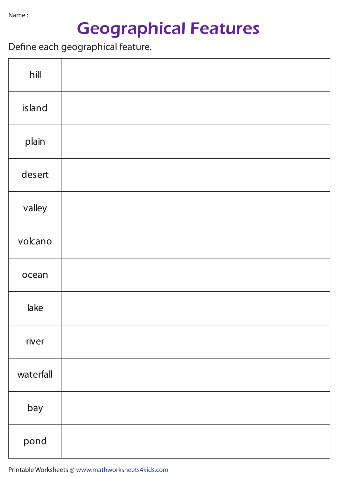## Geographical Features

Define each geographical feature.

| hill      |  |
|-----------|--|
| island    |  |
| plain     |  |
| desert    |  |
| valley    |  |
| volcano   |  |
| ocean     |  |
| lake      |  |
| river     |  |
| waterfall |  |
| bay       |  |
| pond      |  |

Printable Worksheets @ www.mathworksheets4kids.com